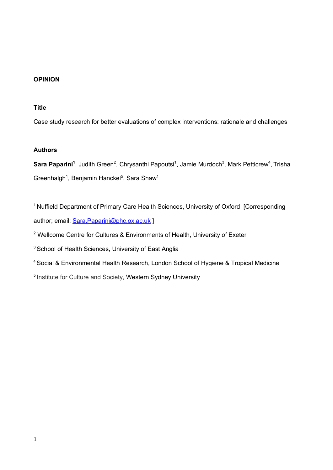# **OPINION**

# **Title**

Case study research for better evaluations of complex interventions: rationale and challenges

# **Authors**

Sara Paparini<sup>1</sup>, Judith Green<sup>2</sup>, Chrysanthi Papoutsi<sup>1</sup>, Jamie Murdoch<sup>3</sup>, Mark Petticrew<sup>4</sup>, Trisha Greenhalgh<sup>1</sup>, Benjamin Hanckel<sup>5</sup>, Sara Shaw<sup>1</sup>

<sup>1</sup> Nuffield Department of Primary Care Health Sciences, University of Oxford [Corresponding author; email: Sara. Paparini@phc.ox.ac.uk ]

<sup>2</sup> Wellcome Centre for Cultures & Environments of Health, University of Exeter

<sup>3</sup> School of Health Sciences, University of East Anglia

4 Social & Environmental Health Research, London School of Hygiene & Tropical Medicine

<sup>5</sup> Institute for Culture and Society, Western Sydney University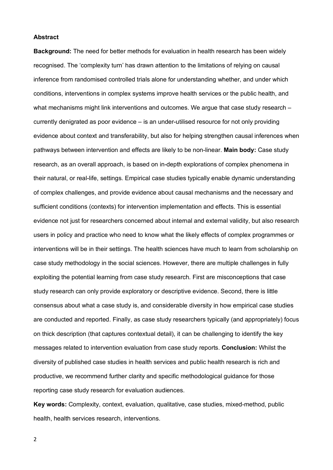#### **Abstract**

**Background:** The need for better methods for evaluation in health research has been widely recognised. The 'complexity turn' has drawn attention to the limitations of relying on causal inference from randomised controlled trials alone for understanding whether, and under which conditions, interventions in complex systems improve health services or the public health, and what mechanisms might link interventions and outcomes. We argue that case study research – currently denigrated as poor evidence – is an under-utilised resource for not only providing evidence about context and transferability, but also for helping strengthen causal inferences when pathways between intervention and effects are likely to be non-linear. **Main body:** Case study research, as an overall approach, is based on in-depth explorations of complex phenomena in their natural, or real-life, settings. Empirical case studies typically enable dynamic understanding of complex challenges, and provide evidence about causal mechanisms and the necessary and sufficient conditions (contexts) for intervention implementation and effects. This is essential evidence not just for researchers concerned about internal and external validity, but also research users in policy and practice who need to know what the likely effects of complex programmes or interventions will be in their settings. The health sciences have much to learn from scholarship on case study methodology in the social sciences. However, there are multiple challenges in fully exploiting the potential learning from case study research. First are misconceptions that case study research can only provide exploratory or descriptive evidence. Second, there is little consensus about what a case study is, and considerable diversity in how empirical case studies are conducted and reported. Finally, as case study researchers typically (and appropriately) focus on thick description (that captures contextual detail), it can be challenging to identify the key messages related to intervention evaluation from case study reports. **Conclusion:** Whilst the diversity of published case studies in health services and public health research is rich and productive, we recommend further clarity and specific methodological guidance for those reporting case study research for evaluation audiences.

**Key words:** Complexity, context, evaluation, qualitative, case studies, mixed-method, public health, health services research, interventions.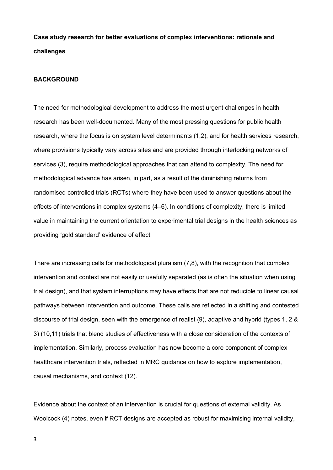**Case study research for better evaluations of complex interventions: rationale and challenges**

## **BACKGROUND**

The need for methodological development to address the most urgent challenges in health research has been well-documented. Many of the most pressing questions for public health research, where the focus is on system level determinants (1,2), and for health services research, where provisions typically vary across sites and are provided through interlocking networks of services (3), require methodological approaches that can attend to complexity. The need for methodological advance has arisen, in part, as a result of the diminishing returns from randomised controlled trials (RCTs) where they have been used to answer questions about the effects of interventions in complex systems (4–6). In conditions of complexity, there is limited value in maintaining the current orientation to experimental trial designs in the health sciences as providing 'gold standard' evidence of effect.

There are increasing calls for methodological pluralism (7,8), with the recognition that complex intervention and context are not easily or usefully separated (as is often the situation when using trial design), and that system interruptions may have effects that are not reducible to linear causal pathways between intervention and outcome. These calls are reflected in a shifting and contested discourse of trial design, seen with the emergence of realist (9), adaptive and hybrid (types 1, 2 & 3) (10,11) trials that blend studies of effectiveness with a close consideration of the contexts of implementation. Similarly, process evaluation has now become a core component of complex healthcare intervention trials, reflected in MRC guidance on how to explore implementation, causal mechanisms, and context (12).

Evidence about the context of an intervention is crucial for questions of external validity. As Woolcock (4) notes, even if RCT designs are accepted as robust for maximising internal validity,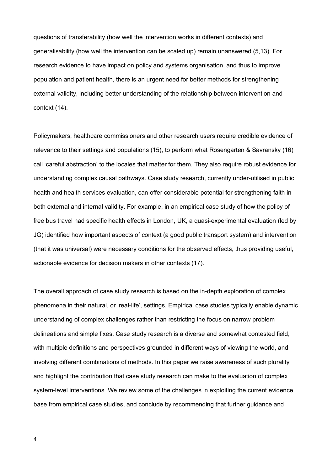questions of transferability (how well the intervention works in different contexts) and generalisability (how well the intervention can be scaled up) remain unanswered (5,13). For research evidence to have impact on policy and systems organisation, and thus to improve population and patient health, there is an urgent need for better methods for strengthening external validity, including better understanding of the relationship between intervention and context (14).

Policymakers, healthcare commissioners and other research users require credible evidence of relevance to their settings and populations (15), to perform what Rosengarten & Savransky (16) call 'careful abstraction' to the locales that matter for them. They also require robust evidence for understanding complex causal pathways. Case study research, currently under-utilised in public health and health services evaluation, can offer considerable potential for strengthening faith in both external and internal validity. For example, in an empirical case study of how the policy of free bus travel had specific health effects in London, UK, a quasi-experimental evaluation (led by JG) identified how important aspects of context (a good public transport system) and intervention (that it was universal) were necessary conditions for the observed effects, thus providing useful, actionable evidence for decision makers in other contexts (17).

The overall approach of case study research is based on the in-depth exploration of complex phenomena in their natural, or 'real-life', settings. Empirical case studies typically enable dynamic understanding of complex challenges rather than restricting the focus on narrow problem delineations and simple fixes. Case study research is a diverse and somewhat contested field, with multiple definitions and perspectives grounded in different ways of viewing the world, and involving different combinations of methods. In this paper we raise awareness of such plurality and highlight the contribution that case study research can make to the evaluation of complex system-level interventions. We review some of the challenges in exploiting the current evidence base from empirical case studies, and conclude by recommending that further guidance and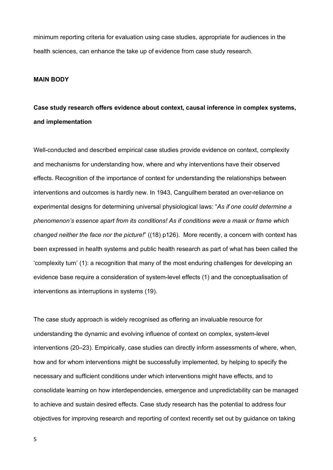minimum reporting criteria for evaluation using case studies, appropriate for audiences in the health sciences, can enhance the take up of evidence from case study research.

## **MAIN BODY**

# **Case study research offers evidence about context, causal inference in complex systems, and implementation**

Well-conducted and described empirical case studies provide evidence on context, complexity and mechanisms for understanding how, where and why interventions have their observed effects. Recognition of the importance of context for understanding the relationships between interventions and outcomes is hardly new. In 1943, Canguilhem berated an over-reliance on experimental designs for determining universal physiological laws: "*As if one could determine a phenomenon's essence apart from its conditions! As if conditions were a mask or frame which changed neither the face nor the picture!*" ((18) p126). More recently, a concern with context has been expressed in health systems and public health research as part of what has been called the 'complexity turn' (1): a recognition that many of the most enduring challenges for developing an evidence base require a consideration of system-level effects (1) and the conceptualisation of interventions as interruptions in systems (19).

The case study approach is widely recognised as offering an invaluable resource for understanding the dynamic and evolving influence of context on complex, system-level interventions (20–23). Empirically, case studies can directly inform assessments of where, when, how and for whom interventions might be successfully implemented, by helping to specify the necessary and sufficient conditions under which interventions might have effects, and to consolidate learning on how interdependencies, emergence and unpredictability can be managed to achieve and sustain desired effects. Case study research has the potential to address four objectives for improving research and reporting of context recently set out by guidance on taking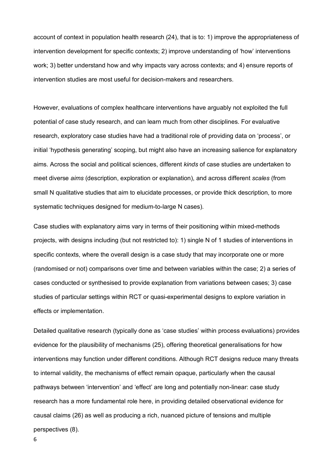account of context in population health research (24), that is to: 1) improve the appropriateness of intervention development for specific contexts; 2) improve understanding of 'how' interventions work; 3) better understand how and why impacts vary across contexts; and 4) ensure reports of intervention studies are most useful for decision-makers and researchers.

However, evaluations of complex healthcare interventions have arguably not exploited the full potential of case study research, and can learn much from other disciplines. For evaluative research, exploratory case studies have had a traditional role of providing data on 'process', or initial 'hypothesis generating' scoping, but might also have an increasing salience for explanatory aims. Across the social and political sciences, different *kinds* of case studies are undertaken to meet diverse *aims* (description, exploration or explanation), and across different *scales* (from small N qualitative studies that aim to elucidate processes, or provide thick description, to more systematic techniques designed for medium-to-large N cases).

Case studies with explanatory aims vary in terms of their positioning within mixed-methods projects, with designs including (but not restricted to): 1) single N of 1 studies of interventions in specific contexts, where the overall design is a case study that may incorporate one or more (randomised or not) comparisons over time and between variables within the case; 2) a series of cases conducted or synthesised to provide explanation from variations between cases; 3) case studies of particular settings within RCT or quasi-experimental designs to explore variation in effects or implementation.

Detailed qualitative research (typically done as 'case studies' within process evaluations) provides evidence for the plausibility of mechanisms (25), offering theoretical generalisations for how interventions may function under different conditions. Although RCT designs reduce many threats to internal validity, the mechanisms of effect remain opaque, particularly when the causal pathways between 'intervention' and 'effect' are long and potentially non-linear: case study research has a more fundamental role here, in providing detailed observational evidence for causal claims (26) as well as producing a rich, nuanced picture of tensions and multiple perspectives (8).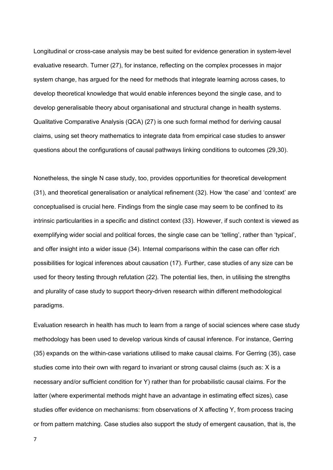Longitudinal or cross-case analysis may be best suited for evidence generation in system-level evaluative research. Turner (27), for instance, reflecting on the complex processes in major system change, has argued for the need for methods that integrate learning across cases, to develop theoretical knowledge that would enable inferences beyond the single case, and to develop generalisable theory about organisational and structural change in health systems. Qualitative Comparative Analysis (QCA) (27) is one such formal method for deriving causal claims, using set theory mathematics to integrate data from empirical case studies to answer questions about the configurations of causal pathways linking conditions to outcomes (29,30).

Nonetheless, the single N case study, too, provides opportunities for theoretical development (31), and theoretical generalisation or analytical refinement (32). How 'the case' and 'context' are conceptualised is crucial here. Findings from the single case may seem to be confined to its intrinsic particularities in a specific and distinct context (33). However, if such context is viewed as exemplifying wider social and political forces, the single case can be 'telling', rather than 'typical', and offer insight into a wider issue (34). Internal comparisons within the case can offer rich possibilities for logical inferences about causation (17). Further, case studies of any size can be used for theory testing through refutation (22). The potential lies, then, in utilising the strengths and plurality of case study to support theory-driven research within different methodological paradigms.

Evaluation research in health has much to learn from a range of social sciences where case study methodology has been used to develop various kinds of causal inference. For instance, Gerring (35) expands on the within-case variations utilised to make causal claims. For Gerring (35), case studies come into their own with regard to invariant or strong causal claims (such as: X is a necessary and/or sufficient condition for Y) rather than for probabilistic causal claims. For the latter (where experimental methods might have an advantage in estimating effect sizes), case studies offer evidence on mechanisms: from observations of X affecting Y, from process tracing or from pattern matching. Case studies also support the study of emergent causation, that is, the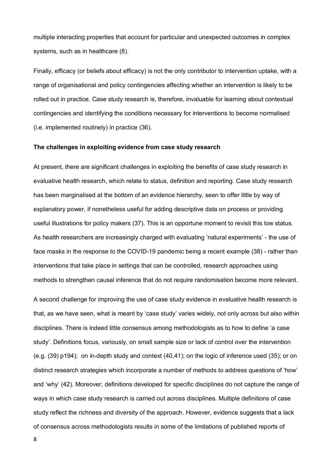multiple interacting properties that account for particular and unexpected outcomes in complex systems, such as in healthcare (8).

Finally, efficacy (or beliefs about efficacy) is not the only contributor to intervention uptake, with a range of organisational and policy contingencies affecting whether an intervention is likely to be rolled out in practice. Case study research is, therefore, invaluable for learning about contextual contingencies and identifying the conditions necessary for interventions to become normalised (i.e. implemented routinely) in practice (36).

#### **The challenges in exploiting evidence from case study research**

At present, there are significant challenges in exploiting the benefits of case study research in evaluative health research, which relate to status, definition and reporting. Case study research has been marginalised at the bottom of an evidence hierarchy, seen to offer little by way of explanatory power, if nonetheless useful for adding descriptive data on process or providing useful illustrations for policy makers (37). This is an opportune moment to revisit this low status. As health researchers are increasingly charged with evaluating 'natural experiments' - the use of face masks in the response to the COVID-19 pandemic being a recent example (38) - rather than interventions that take place in settings that can be controlled, research approaches using methods to strengthen causal inference that do not require randomisation become more relevant.

A second challenge for improving the use of case study evidence in evaluative health research is that, as we have seen, what is meant by 'case study' varies widely, not only across but also within disciplines. There is indeed little consensus among methodologists as to how to define 'a case study'. Definitions focus, variously, on small sample size or lack of control over the intervention (e.g. (39) p194); on in-depth study and context (40,41); on the logic of inference used (35); or on distinct research strategies which incorporate a number of methods to address questions of 'how' and 'why' (42). Moreover, definitions developed for specific disciplines do not capture the range of ways in which case study research is carried out across disciplines. Multiple definitions of case study reflect the richness and diversity of the approach. However, evidence suggests that a lack of consensus across methodologists results in some of the limitations of published reports of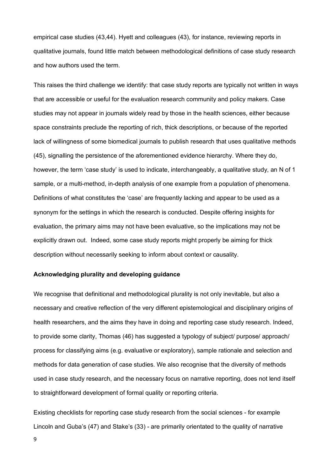empirical case studies (43,44). Hyett and colleagues (43), for instance, reviewing reports in qualitative journals, found little match between methodological definitions of case study research and how authors used the term.

This raises the third challenge we identify: that case study reports are typically not written in ways that are accessible or useful for the evaluation research community and policy makers. Case studies may not appear in journals widely read by those in the health sciences, either because space constraints preclude the reporting of rich, thick descriptions, or because of the reported lack of willingness of some biomedical journals to publish research that uses qualitative methods (45), signalling the persistence of the aforementioned evidence hierarchy. Where they do, however, the term 'case study' is used to indicate, interchangeably, a qualitative study, an N of 1 sample, or a multi-method, in-depth analysis of one example from a population of phenomena. Definitions of what constitutes the 'case' are frequently lacking and appear to be used as a synonym for the settings in which the research is conducted. Despite offering insights for evaluation, the primary aims may not have been evaluative, so the implications may not be explicitly drawn out. Indeed, some case study reports might properly be aiming for thick description without necessarily seeking to inform about context or causality.

## **Acknowledging plurality and developing guidance**

We recognise that definitional and methodological plurality is not only inevitable, but also a necessary and creative reflection of the very different epistemological and disciplinary origins of health researchers, and the aims they have in doing and reporting case study research. Indeed, to provide some clarity, Thomas (46) has suggested a typology of subject/ purpose/ approach/ process for classifying aims (e.g. evaluative or exploratory), sample rationale and selection and methods for data generation of case studies. We also recognise that the diversity of methods used in case study research, and the necessary focus on narrative reporting, does not lend itself to straightforward development of formal quality or reporting criteria.

Existing checklists for reporting case study research from the social sciences - for example Lincoln and Guba's (47) and Stake's (33) - are primarily orientated to the quality of narrative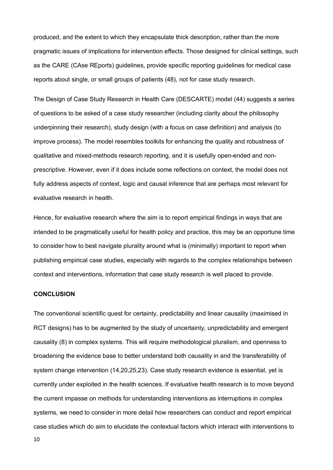produced, and the extent to which they encapsulate thick description, rather than the more pragmatic issues of implications for intervention effects. Those designed for clinical settings, such as the CARE (CAse REports) guidelines, provide specific reporting guidelines for medical case reports about single, or small groups of patients (48), not for case study research.

The Design of Case Study Research in Health Care (DESCARTE) model (44) suggests a series of questions to be asked of a case study researcher (including clarity about the philosophy underpinning their research), study design (with a focus on case definition) and analysis (to improve process). The model resembles toolkits for enhancing the quality and robustness of qualitative and mixed-methods research reporting, and it is usefully open-ended and nonprescriptive. However, even if it does include some reflections on context, the model does not fully address aspects of context, logic and causal inference that are perhaps most relevant for evaluative research in health.

Hence, for evaluative research where the aim is to report empirical findings in ways that are intended to be pragmatically useful for health policy and practice, this may be an opportune time to consider how to best navigate plurality around what is (minimally) important to report when publishing empirical case studies, especially with regards to the complex relationships between context and interventions, information that case study research is well placed to provide.

## **CONCLUSION**

The conventional scientific quest for certainty, predictability and linear causality (maximised in RCT designs) has to be augmented by the study of uncertainty, unpredictability and emergent causality (8) in complex systems. This will require methodological pluralism, and openness to broadening the evidence base to better understand both causality in and the transferability of system change intervention (14,20,25,23). Case study research evidence is essential, yet is currently under exploited in the health sciences. If evaluative health research is to move beyond the current impasse on methods for understanding interventions as interruptions in complex systems, we need to consider in more detail how researchers can conduct and report empirical case studies which do aim to elucidate the contextual factors which interact with interventions to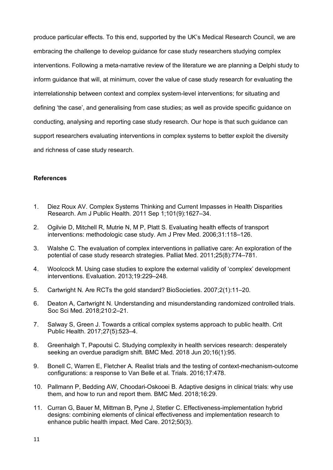produce particular effects. To this end, supported by the UK's Medical Research Council, we are embracing the challenge to develop guidance for case study researchers studying complex interventions. Following a meta-narrative review of the literature we are planning a Delphi study to inform guidance that will, at minimum, cover the value of case study research for evaluating the interrelationship between context and complex system-level interventions; for situating and defining 'the case', and generalising from case studies; as well as provide specific guidance on conducting, analysing and reporting case study research. Our hope is that such guidance can support researchers evaluating interventions in complex systems to better exploit the diversity and richness of case study research.

# **References**

- 1. Diez Roux AV. Complex Systems Thinking and Current Impasses in Health Disparities Research. Am J Public Health. 2011 Sep 1;101(9):1627–34.
- 2. Ogilvie D, Mitchell R, Mutrie N, M P, Platt S. Evaluating health effects of transport interventions: methodologic case study. Am J Prev Med. 2006;31:118–126.
- 3. Walshe C. The evaluation of complex interventions in palliative care: An exploration of the potential of case study research strategies. Palliat Med. 2011;25(8):774–781.
- 4. Woolcock M. Using case studies to explore the external validity of 'complex' development interventions. Evaluation. 2013;19:229–248.
- 5. Cartwright N. Are RCTs the gold standard? BioSocieties. 2007;2(1):11–20.
- 6. Deaton A, Cartwright N. Understanding and misunderstanding randomized controlled trials. Soc Sci Med. 2018;210:2–21.
- 7. Salway S, Green J. Towards a critical complex systems approach to public health. Crit Public Health. 2017;27(5):523–4.
- 8. Greenhalgh T, Papoutsi C. Studying complexity in health services research: desperately seeking an overdue paradigm shift. BMC Med. 2018 Jun 20;16(1):95.
- 9. Bonell C, Warren E, Fletcher A. Realist trials and the testing of context-mechanism-outcome configurations: a response to Van Belle et al. Trials. 2016;17:478.
- 10. Pallmann P, Bedding AW, Choodari-Oskooei B. Adaptive designs in clinical trials: why use them, and how to run and report them. BMC Med. 2018;16:29.
- 11. Curran G, Bauer M, Mittman B, Pyne J, Stetler C. Effectiveness-implementation hybrid designs: combining elements of clinical effectiveness and implementation research to enhance public health impact. Med Care. 2012;50(3).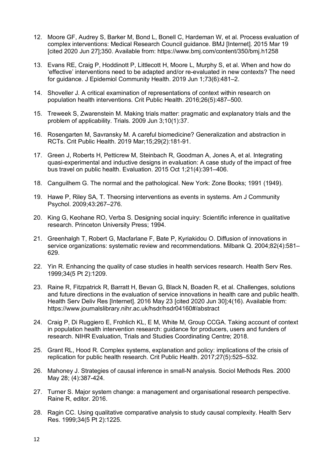- 12. Moore GF, Audrey S, Barker M, Bond L, Bonell C, Hardeman W, et al. Process evaluation of complex interventions: Medical Research Council guidance. BMJ [Internet]. 2015 Mar 19 [cited 2020 Jun 27];350. Available from: https://www.bmj.com/content/350/bmj.h1258
- 13. Evans RE, Craig P, Hoddinott P, Littlecott H, Moore L, Murphy S, et al. When and how do 'effective' interventions need to be adapted and/or re-evaluated in new contexts? The need for guidance. J Epidemiol Community Health. 2019 Jun 1;73(6):481–2.
- 14. Shoveller J. A critical examination of representations of context within research on population health interventions. Crit Public Health. 2016;26(5):487–500.
- 15. Treweek S, Zwarenstein M. Making trials matter: pragmatic and explanatory trials and the problem of applicability. Trials. 2009 Jun 3;10(1):37.
- 16. Rosengarten M, Savransky M. A careful biomedicine? Generalization and abstraction in RCTs. Crit Public Health. 2019 Mar;15;29(2):181-91.
- 17. Green J, Roberts H, Petticrew M, Steinbach R, Goodman A, Jones A, et al. Integrating quasi-experimental and inductive designs in evaluation: A case study of the impact of free bus travel on public health. Evaluation. 2015 Oct 1;21(4):391–406.
- 18. Canguilhem G. The normal and the pathological. New York: Zone Books; 1991 (1949).
- 19. Hawe P, Riley SA, T. Theorsing interventions as events in systems. Am J Community Psychol. 2009;43:267–276.
- 20. King G, Keohane RO, Verba S. Designing social inquiry: Scientific inference in qualitative research. Princeton University Press; 1994.
- 21. Greenhalgh T, Robert G, Macfarlane F, Bate P, Kyriakidou O. Diffusion of innovations in service organizations: systematic review and recommendations. Milbank Q. 2004;82(4):581– 629.
- 22. Yin R. Enhancing the quality of case studies in health services research. Health Serv Res. 1999;34(5 Pt 2):1209.
- 23. Raine R, Fitzpatrick R, Barratt H, Bevan G, Black N, Boaden R, et al. Challenges, solutions and future directions in the evaluation of service innovations in health care and public health. Health Serv Deliv Res [Internet]. 2016 May 23 [cited 2020 Jun 30];4(16). Available from: https://www.journalslibrary.nihr.ac.uk/hsdr/hsdr04160#/abstract
- 24. Craig P, Di Ruggiero E, Frohlich KL, E M, White M, Group CCGA. Taking account of context in population health intervention research: guidance for producers, users and funders of research. NIHR Evaluation, Trials and Studies Coordinating Centre; 2018.
- 25. Grant RL, Hood R. Complex systems, explanation and policy: implications of the crisis of replication for public health research. Crit Public Health. 2017;27(5):525–532.
- 26. Mahoney J. Strategies of causal inference in small-N analysis. Sociol Methods Res. 2000 May 28; (4):387-424.
- 27. Turner S. Major system change: a management and organisational research perspective. Raine R, editor. 2016.
- 28. Ragin CC. Using qualitative comparative analysis to study causal complexity. Health Serv Res. 1999;34(5 Pt 2):1225.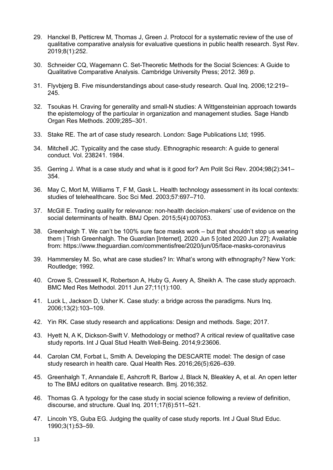- 29. Hanckel B, Petticrew M, Thomas J, Green J. Protocol for a systematic review of the use of qualitative comparative analysis for evaluative questions in public health research. Syst Rev. 2019;8(1):252.
- 30. Schneider CQ, Wagemann C. Set-Theoretic Methods for the Social Sciences: A Guide to Qualitative Comparative Analysis. Cambridge University Press; 2012. 369 p.
- 31. Flyvbjerg B. Five misunderstandings about case-study research. Qual Inq. 2006;12:219– 245.
- 32. Tsoukas H. Craving for generality and small-N studies: A Wittgensteinian approach towards the epistemology of the particular in organization and management studies. Sage Handb Organ Res Methods. 2009;285–301.
- 33. Stake RE. The art of case study research. London: Sage Publications Ltd; 1995.
- 34. Mitchell JC. Typicality and the case study. Ethnographic research: A guide to general conduct. Vol. 238241. 1984.
- 35. Gerring J. What is a case study and what is it good for? Am Polit Sci Rev. 2004;98(2):341– 354.
- 36. May C, Mort M, Williams T, F M, Gask L. Health technology assessment in its local contexts: studies of telehealthcare. Soc Sci Med. 2003;57:697–710.
- 37. McGill E. Trading quality for relevance: non-health decision-makers' use of evidence on the social determinants of health. BMJ Open. 2015;5(4):007053.
- 38. Greenhalgh T. We can't be 100% sure face masks work but that shouldn't stop us wearing them | Trish Greenhalgh. The Guardian [Internet]. 2020 Jun 5 [cited 2020 Jun 27]; Available from: https://www.theguardian.com/commentisfree/2020/jun/05/face-masks-coronavirus
- 39. Hammersley M. So, what are case studies? In: What's wrong with ethnography? New York: Routledge; 1992.
- 40. Crowe S, Cresswell K, Robertson A, Huby G, Avery A, Sheikh A. The case study approach. BMC Med Res Methodol. 2011 Jun 27;11(1):100.
- 41. Luck L, Jackson D, Usher K. Case study: a bridge across the paradigms. Nurs Inq. 2006;13(2):103–109.
- 42. Yin RK. Case study research and applications: Design and methods. Sage; 2017.
- 43. Hyett N, A K, Dickson-Swift V. Methodology or method? A critical review of qualitative case study reports. Int J Qual Stud Health Well-Being. 2014;9:23606.
- 44. Carolan CM, Forbat L, Smith A. Developing the DESCARTE model: The design of case study research in health care. Qual Health Res. 2016;26(5):626–639.
- 45. Greenhalgh T, Annandale E, Ashcroft R, Barlow J, Black N, Bleakley A, et al. An open letter to The BMJ editors on qualitative research. Bmj. 2016;352.
- 46. Thomas G. A typology for the case study in social science following a review of definition, discourse, and structure. Qual Inq. 2011;17(6):511–521.
- 47. Lincoln YS, Guba EG. Judging the quality of case study reports. Int J Qual Stud Educ. 1990;3(1):53–59.